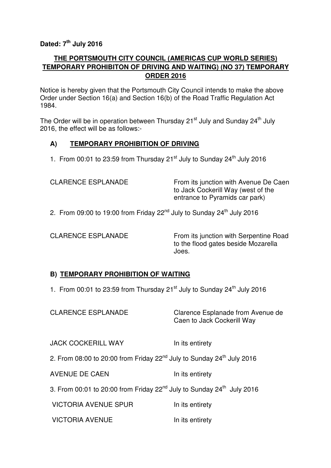# **Dated: 7th July 2016**

## **THE PORTSMOUTH CITY COUNCIL (AMERICAS CUP WORLD SERIES) TEMPORARY PROHIBITON OF DRIVING AND WAITING) (NO 37) TEMPORARY ORDER 2016**

Notice is hereby given that the Portsmouth City Council intends to make the above Order under Section 16(a) and Section 16(b) of the Road Traffic Regulation Act 1984.

The Order will be in operation between Thursday  $21^{st}$  July and Sunday  $24^{th}$  July 2016, the effect will be as follows:-

## **A) TEMPORARY PROHIBITION OF DRIVING**

1. From 00:01 to 23:59 from Thursday  $21^{st}$  July to Sunday  $24^{th}$  July 2016

| <b>CLARENCE ESPLANADE</b> | From its junction with Avenue De Caen<br>to Jack Cockerill Way (west of the<br>entrance to Pyramids car park) |
|---------------------------|---------------------------------------------------------------------------------------------------------------|
|                           |                                                                                                               |

2. From 09:00 to 19:00 from Friday  $22<sup>nd</sup>$  July to Sunday  $24<sup>th</sup>$  July 2016

CLARENCE ESPLANADE From its junction with Serpentine Road to the flood gates beside Mozarella Joes.

#### **B) TEMPORARY PROHIBITION OF WAITING**

1. From 00:01 to 23:59 from Thursday 21 $^{\text{st}}$  July to Sunday 24 $^{\text{th}}$  July 2016

| <b>CLARENCE ESPLANADE</b>                                                                     | Clarence Esplanade from Avenue de<br>Caen to Jack Cockerill Way |
|-----------------------------------------------------------------------------------------------|-----------------------------------------------------------------|
| <b>JACK COCKERILL WAY</b>                                                                     | In its entirety                                                 |
| 2. From 08:00 to 20:00 from Friday 22 <sup>nd</sup> July to Sunday 24 <sup>th</sup> July 2016 |                                                                 |
| <b>AVENUE DE CAEN</b>                                                                         | In its entirety                                                 |
| 3. From 00:01 to 20:00 from Friday 22 <sup>nd</sup> July to Sunday 24 <sup>th</sup> July 2016 |                                                                 |
| <b>VICTORIA AVENUE SPUR</b>                                                                   | In its entirety                                                 |
| <b>VICTORIA AVENUE</b>                                                                        | In its entirety                                                 |